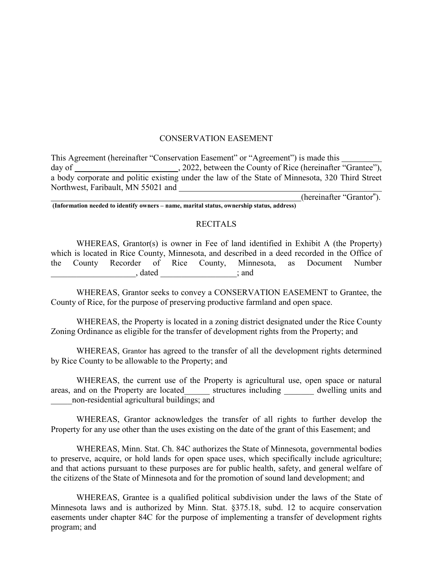#### CONSERVATION EASEMENT

This Agreement (hereinafter "Conservation Easement" or "Agreement") is made this day of \_\_\_\_\_\_\_\_\_\_\_\_\_\_\_\_\_\_\_\_\_\_\_\_\_\_\_, 2022, between the County of Rice (hereinafter "Grantee"), a body corporate and politic existing under the law of the State of Minnesota, 320 Third Street Northwest, Faribault, MN 55021 and (hereinafter "Grantor").

**(Information needed to identify owners – name, marital status, ownership status, address)**

#### RECITALS

WHEREAS, Grantor(s) is owner in Fee of land identified in Exhibit A (the Property) which is located in Rice County, Minnesota, and described in a deed recorded in the Office of the County Recorder of Rice County, Minnesota, as Document Number \_\_\_\_\_\_\_\_\_\_\_\_\_\_\_\_\_\_\_\_, dated \_\_\_\_\_\_\_\_\_\_\_\_\_\_\_\_\_\_; and

WHEREAS, Grantor seeks to convey a CONSERVATION EASEMENT to Grantee, the County of Rice, for the purpose of preserving productive farmland and open space.

WHEREAS, the Property is located in a zoning district designated under the Rice County Zoning Ordinance as eligible for the transfer of development rights from the Property; and

WHEREAS, Grantor has agreed to the transfer of all the development rights determined by Rice County to be allowable to the Property; and

WHEREAS, the current use of the Property is agricultural use, open space or natural areas, and on the Property are located structures including dwelling units and \_\_\_\_\_non-residential agricultural buildings; and

WHEREAS, Grantor acknowledges the transfer of all rights to further develop the Property for any use other than the uses existing on the date of the grant of this Easement; and

WHEREAS, Minn. Stat. Ch. 84C authorizes the State of Minnesota, governmental bodies to preserve, acquire, or hold lands for open space uses, which specifically include agriculture; and that actions pursuant to these purposes are for public health, safety, and general welfare of the citizens of the State of Minnesota and for the promotion of sound land development; and

WHEREAS, Grantee is a qualified political subdivision under the laws of the State of Minnesota laws and is authorized by Minn. Stat. §375.18, subd. 12 to acquire conservation easements under chapter 84C for the purpose of implementing a transfer of development rights program; and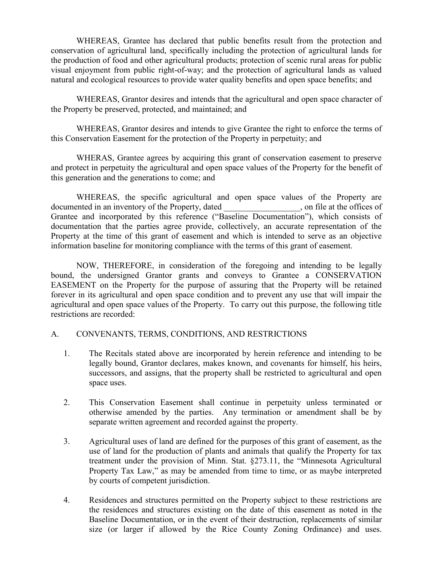WHEREAS, Grantee has declared that public benefits result from the protection and conservation of agricultural land, specifically including the protection of agricultural lands for the production of food and other agricultural products; protection of scenic rural areas for public visual enjoyment from public right-of-way; and the protection of agricultural lands as valued natural and ecological resources to provide water quality benefits and open space benefits; and

WHEREAS, Grantor desires and intends that the agricultural and open space character of the Property be preserved, protected, and maintained; and

WHEREAS, Grantor desires and intends to give Grantee the right to enforce the terms of this Conservation Easement for the protection of the Property in perpetuity; and

WHERAS, Grantee agrees by acquiring this grant of conservation easement to preserve and protect in perpetuity the agricultural and open space values of the Property for the benefit of this generation and the generations to come; and

WHEREAS, the specific agricultural and open space values of the Property are documented in an inventory of the Property, dated , on file at the offices of Grantee and incorporated by this reference ("Baseline Documentation"), which consists of documentation that the parties agree provide, collectively, an accurate representation of the Property at the time of this grant of easement and which is intended to serve as an objective information baseline for monitoring compliance with the terms of this grant of easement.

NOW, THEREFORE, in consideration of the foregoing and intending to be legally bound, the undersigned Grantor grants and conveys to Grantee a CONSERVATION EASEMENT on the Property for the purpose of assuring that the Property will be retained forever in its agricultural and open space condition and to prevent any use that will impair the agricultural and open space values of the Property. To carry out this purpose, the following title restrictions are recorded:

## A. CONVENANTS, TERMS, CONDITIONS, AND RESTRICTIONS

- 1. The Recitals stated above are incorporated by herein reference and intending to be legally bound, Grantor declares, makes known, and covenants for himself, his heirs, successors, and assigns, that the property shall be restricted to agricultural and open space uses.
- 2. This Conservation Easement shall continue in perpetuity unless terminated or otherwise amended by the parties. Any termination or amendment shall be by separate written agreement and recorded against the property.
- 3. Agricultural uses of land are defined for the purposes of this grant of easement, as the use of land for the production of plants and animals that qualify the Property for tax treatment under the provision of Minn. Stat. §273.11, the "Minnesota Agricultural Property Tax Law," as may be amended from time to time, or as maybe interpreted by courts of competent jurisdiction.
- 4. Residences and structures permitted on the Property subject to these restrictions are the residences and structures existing on the date of this easement as noted in the Baseline Documentation, or in the event of their destruction, replacements of similar size (or larger if allowed by the Rice County Zoning Ordinance) and uses.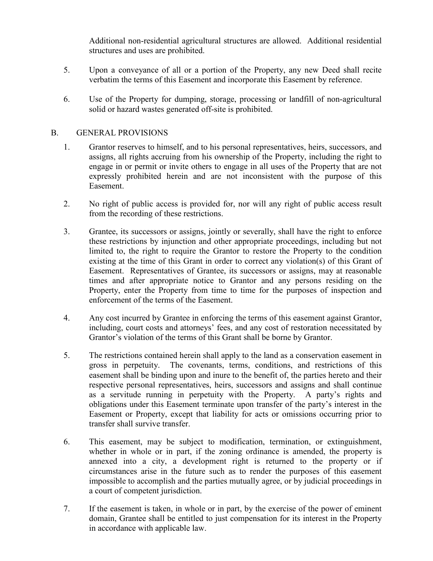Additional non-residential agricultural structures are allowed. Additional residential structures and uses are prohibited.

- 5. Upon a conveyance of all or a portion of the Property, any new Deed shall recite verbatim the terms of this Easement and incorporate this Easement by reference.
- 6. Use of the Property for dumping, storage, processing or landfill of non-agricultural solid or hazard wastes generated off-site is prohibited.

## B. GENERAL PROVISIONS

- 1. Grantor reserves to himself, and to his personal representatives, heirs, successors, and assigns, all rights accruing from his ownership of the Property, including the right to engage in or permit or invite others to engage in all uses of the Property that are not expressly prohibited herein and are not inconsistent with the purpose of this Easement.
- 2. No right of public access is provided for, nor will any right of public access result from the recording of these restrictions.
- 3. Grantee, its successors or assigns, jointly or severally, shall have the right to enforce these restrictions by injunction and other appropriate proceedings, including but not limited to, the right to require the Grantor to restore the Property to the condition existing at the time of this Grant in order to correct any violation(s) of this Grant of Easement. Representatives of Grantee, its successors or assigns, may at reasonable times and after appropriate notice to Grantor and any persons residing on the Property, enter the Property from time to time for the purposes of inspection and enforcement of the terms of the Easement.
- 4. Any cost incurred by Grantee in enforcing the terms of this easement against Grantor, including, court costs and attorneys' fees, and any cost of restoration necessitated by Grantor's violation of the terms of this Grant shall be borne by Grantor.
- 5. The restrictions contained herein shall apply to the land as a conservation easement in gross in perpetuity. The covenants, terms, conditions, and restrictions of this easement shall be binding upon and inure to the benefit of, the parties hereto and their respective personal representatives, heirs, successors and assigns and shall continue as a servitude running in perpetuity with the Property. A party's rights and obligations under this Easement terminate upon transfer of the party's interest in the Easement or Property, except that liability for acts or omissions occurring prior to transfer shall survive transfer.
- 6. This easement, may be subject to modification, termination, or extinguishment, whether in whole or in part, if the zoning ordinance is amended, the property is annexed into a city, a development right is returned to the property or if circumstances arise in the future such as to render the purposes of this easement impossible to accomplish and the parties mutually agree, or by judicial proceedings in a court of competent jurisdiction.
- 7. If the easement is taken, in whole or in part, by the exercise of the power of eminent domain, Grantee shall be entitled to just compensation for its interest in the Property in accordance with applicable law.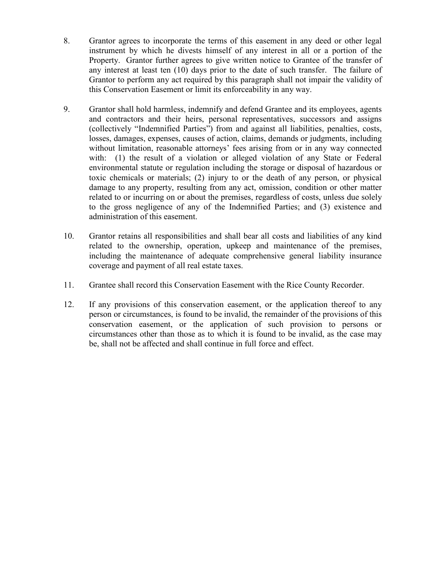- 8. Grantor agrees to incorporate the terms of this easement in any deed or other legal instrument by which he divests himself of any interest in all or a portion of the Property. Grantor further agrees to give written notice to Grantee of the transfer of any interest at least ten (10) days prior to the date of such transfer. The failure of Grantor to perform any act required by this paragraph shall not impair the validity of this Conservation Easement or limit its enforceability in any way.
- 9. Grantor shall hold harmless, indemnify and defend Grantee and its employees, agents and contractors and their heirs, personal representatives, successors and assigns (collectively "Indemnified Parties") from and against all liabilities, penalties, costs, losses, damages, expenses, causes of action, claims, demands or judgments, including without limitation, reasonable attorneys' fees arising from or in any way connected with: (1) the result of a violation or alleged violation of any State or Federal environmental statute or regulation including the storage or disposal of hazardous or toxic chemicals or materials; (2) injury to or the death of any person, or physical damage to any property, resulting from any act, omission, condition or other matter related to or incurring on or about the premises, regardless of costs, unless due solely to the gross negligence of any of the Indemnified Parties; and (3) existence and administration of this easement.
- 10. Grantor retains all responsibilities and shall bear all costs and liabilities of any kind related to the ownership, operation, upkeep and maintenance of the premises, including the maintenance of adequate comprehensive general liability insurance coverage and payment of all real estate taxes.
- 11. Grantee shall record this Conservation Easement with the Rice County Recorder.
- 12. If any provisions of this conservation easement, or the application thereof to any person or circumstances, is found to be invalid, the remainder of the provisions of this conservation easement, or the application of such provision to persons or circumstances other than those as to which it is found to be invalid, as the case may be, shall not be affected and shall continue in full force and effect.